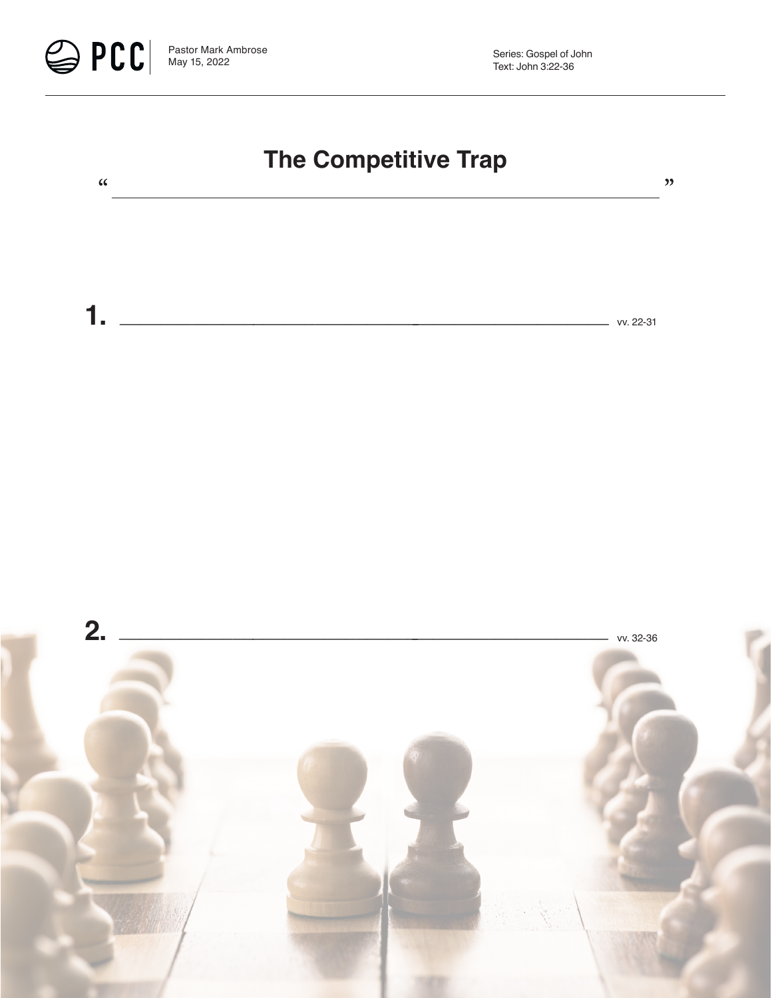